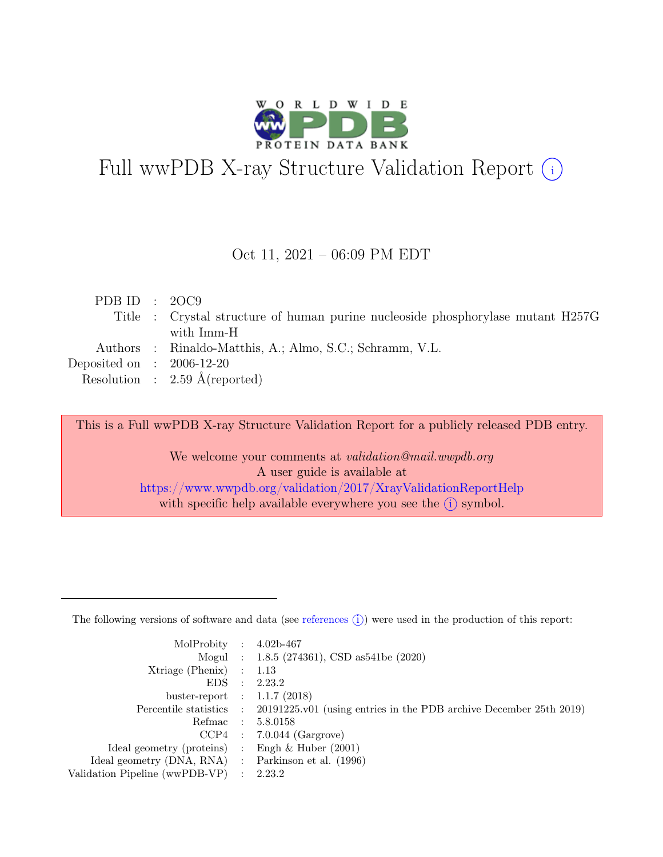

# Full wwPDB X-ray Structure Validation Report  $(i)$

#### Oct 11, 2021 – 06:09 PM EDT

| PDB ID : $20C9$             |                                                                                 |
|-----------------------------|---------------------------------------------------------------------------------|
|                             | Title : Crystal structure of human purine nucleoside phosphorylase mutant H257G |
|                             | with Imm-H                                                                      |
|                             | Authors : Rinaldo-Matthis, A.; Almo, S.C.; Schramm, V.L.                        |
| Deposited on : $2006-12-20$ |                                                                                 |
|                             | Resolution : $2.59 \text{ Å}$ (reported)                                        |

This is a Full wwPDB X-ray Structure Validation Report for a publicly released PDB entry.

We welcome your comments at *validation@mail.wwpdb.org* A user guide is available at <https://www.wwpdb.org/validation/2017/XrayValidationReportHelp> with specific help available everywhere you see the  $(i)$  symbol.

The following versions of software and data (see [references](https://www.wwpdb.org/validation/2017/XrayValidationReportHelp#references)  $(i)$ ) were used in the production of this report:

| MolProbity : $4.02b-467$                            |                                                                                            |
|-----------------------------------------------------|--------------------------------------------------------------------------------------------|
|                                                     |                                                                                            |
|                                                     | Mogul : 1.8.5 (274361), CSD as 541be (2020)                                                |
| $Xtriangle (Phenix)$ : 1.13                         |                                                                                            |
|                                                     | EDS : 2.23.2                                                                               |
| buster-report : $1.1.7$ (2018)                      |                                                                                            |
|                                                     | Percentile statistics : 20191225.v01 (using entries in the PDB archive December 25th 2019) |
| Refmac : 5.8.0158                                   |                                                                                            |
|                                                     | $CCP4$ : 7.0.044 (Gargrove)                                                                |
| Ideal geometry (proteins) : Engh $\&$ Huber (2001)  |                                                                                            |
| Ideal geometry (DNA, RNA) : Parkinson et al. (1996) |                                                                                            |
| Validation Pipeline (wwPDB-VP) : 2.23.2             |                                                                                            |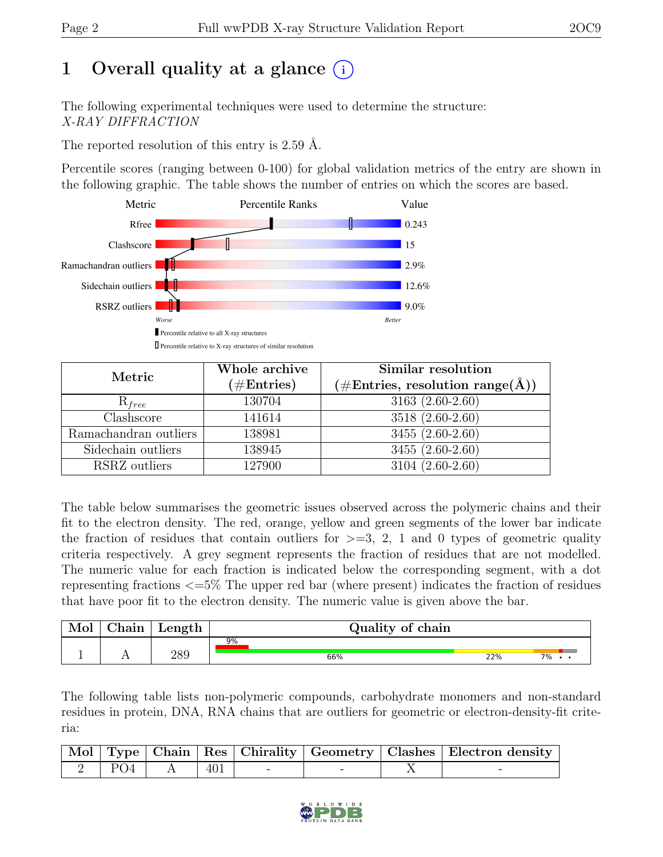# 1 Overall quality at a glance  $(i)$

The following experimental techniques were used to determine the structure: X-RAY DIFFRACTION

The reported resolution of this entry is 2.59 Å.

Percentile scores (ranging between 0-100) for global validation metrics of the entry are shown in the following graphic. The table shows the number of entries on which the scores are based.



| Metric                | Whole archive<br>$(\#\text{Entries})$ | Similar resolution<br>$(\# \text{Entries}, \text{ resolution } \text{range}(\AA))$ |
|-----------------------|---------------------------------------|------------------------------------------------------------------------------------|
| $R_{free}$            | 130704                                | $3163(2.60-2.60)$                                                                  |
| Clashscore            | 141614                                | 3518 (2.60-2.60)                                                                   |
| Ramachandran outliers | 138981                                | 3455 (2.60-2.60)                                                                   |
| Sidechain outliers    | 138945                                | 3455 (2.60-2.60)                                                                   |
| RSRZ outliers         | 127900                                | $3104(2.60-2.60)$                                                                  |

The table below summarises the geometric issues observed across the polymeric chains and their fit to the electron density. The red, orange, yellow and green segments of the lower bar indicate the fraction of residues that contain outliers for  $\geq=3$ , 2, 1 and 0 types of geometric quality criteria respectively. A grey segment represents the fraction of residues that are not modelled. The numeric value for each fraction is indicated below the corresponding segment, with a dot representing fractions <=5% The upper red bar (where present) indicates the fraction of residues that have poor fit to the electron density. The numeric value is given above the bar.

| Mol | $\gamma$ hain | Length     | Quality of chain |     |         |
|-----|---------------|------------|------------------|-----|---------|
|     |               |            | 9%               |     |         |
|     |               | າ໑ດ<br>209 | 66%              | 22% | $7\%$ . |

The following table lists non-polymeric compounds, carbohydrate monomers and non-standard residues in protein, DNA, RNA chains that are outliers for geometric or electron-density-fit criteria:

|  |  |  | Mol   Type   Chain   Res   Chirality   Geometry   Clashes   Electron density |
|--|--|--|------------------------------------------------------------------------------|
|  |  |  |                                                                              |

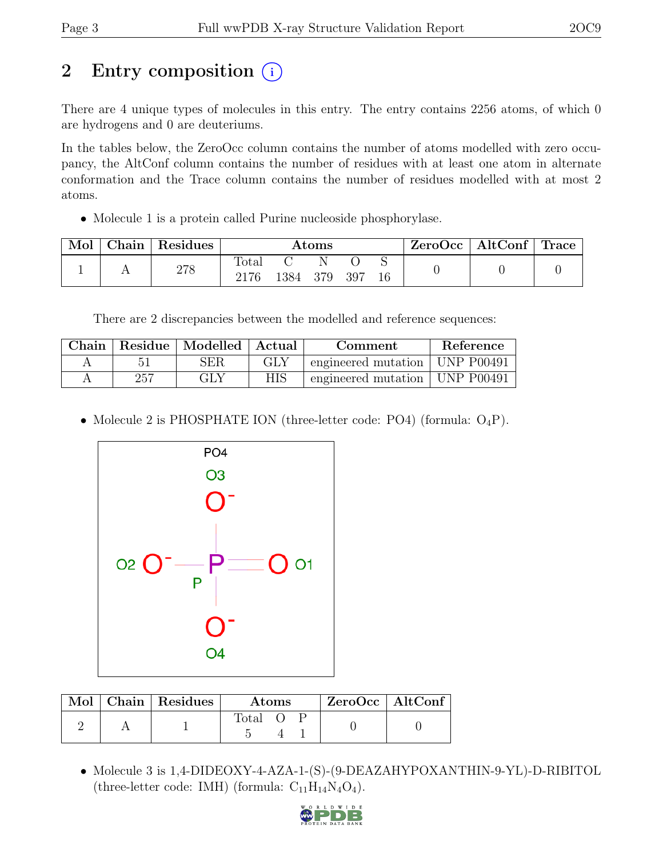# 2 Entry composition (i)

There are 4 unique types of molecules in this entry. The entry contains 2256 atoms, of which 0 are hydrogens and 0 are deuteriums.

In the tables below, the ZeroOcc column contains the number of atoms modelled with zero occupancy, the AltConf column contains the number of residues with at least one atom in alternate conformation and the Trace column contains the number of residues modelled with at most 2 atoms.

• Molecule 1 is a protein called Purine nucleoside phosphorylase.

| Mol | ⊤ Chain ' | Residues |               |          | $\rm{Atoms}$ |      |  | $\text{ZeroOcc}$   AltConf   Trace |  |
|-----|-----------|----------|---------------|----------|--------------|------|--|------------------------------------|--|
|     |           | 278      | Total<br>2176 | 1384 379 | N            | -397 |  |                                    |  |

There are 2 discrepancies between the modelled and reference sequences:

| Chain |     | Residue   Modelled   Actual |     | Comment                          | Reference |
|-------|-----|-----------------------------|-----|----------------------------------|-----------|
|       |     | ${\rm SER}$                 | GLY | engineered mutation   UNP P00491 |           |
|       | 257 | GLY                         | HIS | engineered mutation   UNP P00491 |           |

• Molecule 2 is PHOSPHATE ION (three-letter code: PO4) (formula:  $O_4P$ ).



|  | Mol   Chain   Residues | <b>Atoms</b>   |  | $ZeroOcc \mid AltConf \mid$ |  |
|--|------------------------|----------------|--|-----------------------------|--|
|  |                        | $\text{Total}$ |  |                             |  |

• Molecule 3 is 1,4-DIDEOXY-4-AZA-1-(S)-(9-DEAZAHYPOXANTHIN-9-YL)-D-RIBITOL (three-letter code: IMH) (formula:  $C_{11}H_{14}N_4O_4$ ).

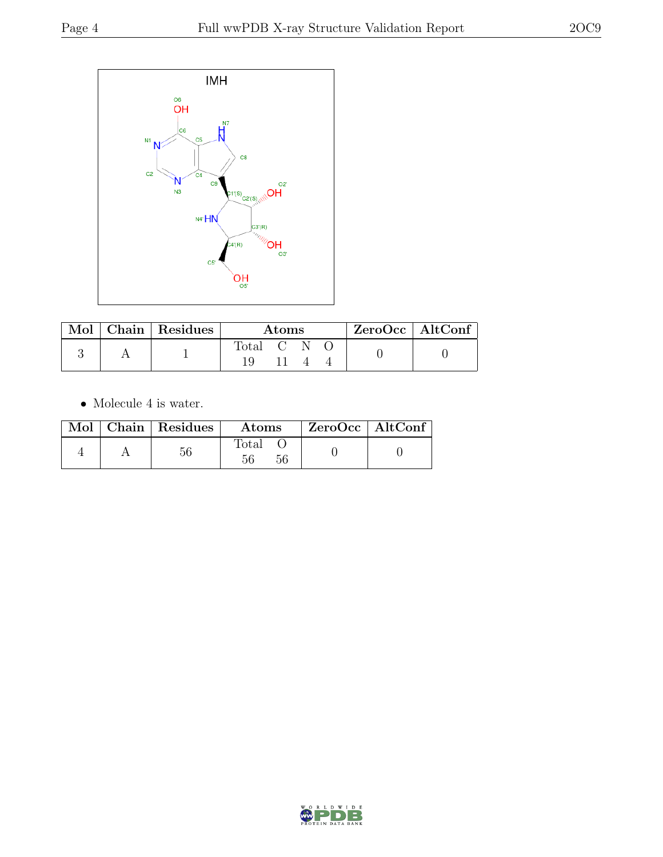

|  | $Mol$   Chain   Residues | Atoms     |  |  |  | $ZeroOcc \   \$ AltConf |
|--|--------------------------|-----------|--|--|--|-------------------------|
|  |                          | Total C N |  |  |  |                         |
|  |                          |           |  |  |  |                         |

 $\bullet\,$  Molecule 4 is water.

|  | Mol   Chain   Residues | Atoms                | $ZeroOcc \mid AltConf$ |  |
|--|------------------------|----------------------|------------------------|--|
|  | 56                     | $_{\rm Total}$<br>56 |                        |  |

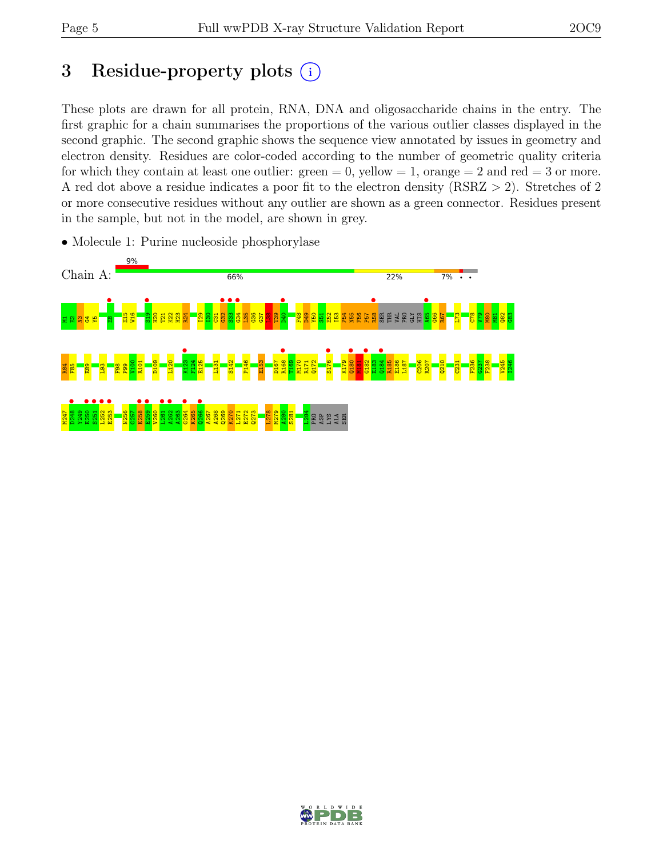# 3 Residue-property plots  $(i)$

These plots are drawn for all protein, RNA, DNA and oligosaccharide chains in the entry. The first graphic for a chain summarises the proportions of the various outlier classes displayed in the second graphic. The second graphic shows the sequence view annotated by issues in geometry and electron density. Residues are color-coded according to the number of geometric quality criteria for which they contain at least one outlier:  $green = 0$ , yellow  $= 1$ , orange  $= 2$  and red  $= 3$  or more. A red dot above a residue indicates a poor fit to the electron density (RSRZ > 2). Stretches of 2 or more consecutive residues without any outlier are shown as a green connector. Residues present in the sample, but not in the model, are shown in grey.



• Molecule 1: Purine nucleoside phosphorylase

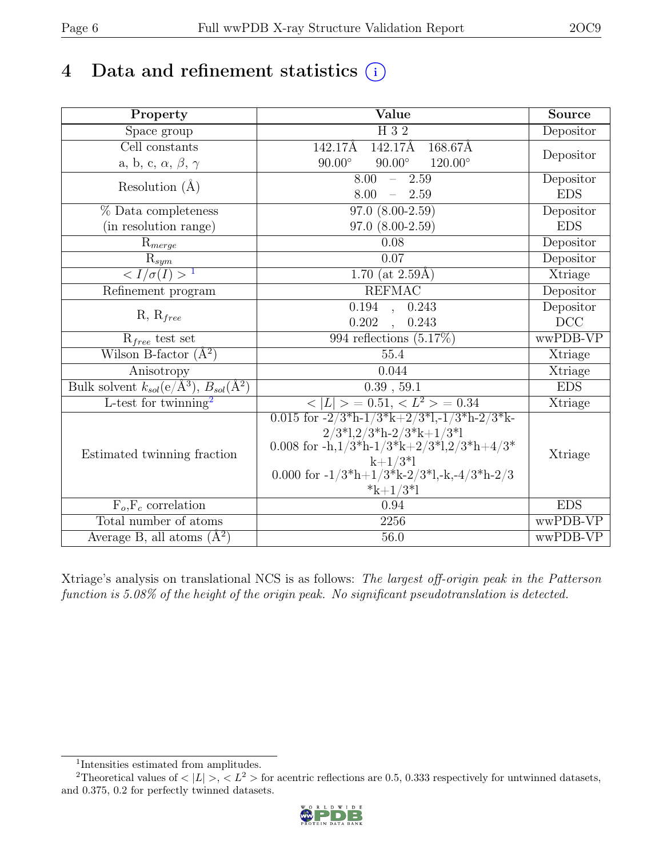# 4 Data and refinement statistics  $(i)$

| H 3 2<br>Space group<br>Depositor<br>168.67Å<br>142.17Å<br>142.17Å<br>Cell constants<br>Depositor<br>$90.00^\circ$<br>$90.00^\circ$<br>$120.00^{\circ}$<br>a, b, c, $\alpha$ , $\beta$ , $\gamma$<br>8.00<br>$-2.59$<br>Depositor<br>Resolution $(A)$<br><b>EDS</b><br>8.00<br>$-2.59$<br>$97.0 (8.00-2.59)$<br>Depositor<br>% Data completeness<br>(in resolution range)<br>97.0 (8.00-2.59)<br><b>EDS</b><br>0.08<br>Depositor<br>$R_{merge}$<br>0.07<br>Depositor<br>$\mathbf{R}_{sym}$<br>$\langle I/\sigma(I) \rangle$ <sup>1</sup><br>$1.70$ (at 2.59Å)<br>Xtriage<br><b>REFMAC</b><br>Depositor<br>Refinement program<br>0.194<br>Depositor<br>0.243<br>$\mathcal{L}_{\mathbf{A}}$<br>$R, R_{free}$<br>DCC<br>0.202<br>, 0.243<br>994 reflections $(5.17\%)$<br>wwPDB-VP<br>$R_{free}$ test set<br>Wilson B-factor $(A^2)$<br>55.4<br>Xtriage<br>0.044<br>Xtriage<br>Anisotropy<br>Bulk solvent $k_{sol}(\mathrm{e}/\mathrm{A}^3), B_{sol}(\mathrm{A}^2)$<br>$0.39$ , $59.1$<br><b>EDS</b><br>$\langle  L  \rangle = 0.51, \langle L^2 \rangle = 0.34$<br>L-test for twinning <sup>2</sup><br>Xtriage<br>0.015 for $-2/3$ <sup>*</sup> h $-1/3$ <sup>*</sup> k $+2/3$ <sup>*</sup> l, $-1/3$ <sup>*</sup> h $-2/3$ <sup>*</sup> k $-$<br>$2/3$ <sup>*</sup> l, $2/3$ <sup>*</sup> h- $2/3$ <sup>*</sup> k+1/3 <sup>*</sup> l<br>0.008 for $-h, 1/3*h-1/3*k+2/3'l, 2/3*h+4/3*$<br>Estimated twinning fraction<br>Xtriage<br>$k+1/3*1$<br>0.000 for $-1/3*h+1/3*k-2/3'l,-k,-4/3*h-2/3$<br>$*k+1/3*1$<br>$F_o, F_c$ correlation<br><b>EDS</b><br>0.94<br>wwPDB-VP<br>Total number of atoms<br>2256<br>Average B, all atoms $(A^2)$<br>wwPDB-VP<br>56.0 | Property | Value | Source |  |
|------------------------------------------------------------------------------------------------------------------------------------------------------------------------------------------------------------------------------------------------------------------------------------------------------------------------------------------------------------------------------------------------------------------------------------------------------------------------------------------------------------------------------------------------------------------------------------------------------------------------------------------------------------------------------------------------------------------------------------------------------------------------------------------------------------------------------------------------------------------------------------------------------------------------------------------------------------------------------------------------------------------------------------------------------------------------------------------------------------------------------------------------------------------------------------------------------------------------------------------------------------------------------------------------------------------------------------------------------------------------------------------------------------------------------------------------------------------------------------------------------------------------------------------------------------------------------------------------------------------------------------------------------------|----------|-------|--------|--|
|                                                                                                                                                                                                                                                                                                                                                                                                                                                                                                                                                                                                                                                                                                                                                                                                                                                                                                                                                                                                                                                                                                                                                                                                                                                                                                                                                                                                                                                                                                                                                                                                                                                            |          |       |        |  |
|                                                                                                                                                                                                                                                                                                                                                                                                                                                                                                                                                                                                                                                                                                                                                                                                                                                                                                                                                                                                                                                                                                                                                                                                                                                                                                                                                                                                                                                                                                                                                                                                                                                            |          |       |        |  |
|                                                                                                                                                                                                                                                                                                                                                                                                                                                                                                                                                                                                                                                                                                                                                                                                                                                                                                                                                                                                                                                                                                                                                                                                                                                                                                                                                                                                                                                                                                                                                                                                                                                            |          |       |        |  |
|                                                                                                                                                                                                                                                                                                                                                                                                                                                                                                                                                                                                                                                                                                                                                                                                                                                                                                                                                                                                                                                                                                                                                                                                                                                                                                                                                                                                                                                                                                                                                                                                                                                            |          |       |        |  |
|                                                                                                                                                                                                                                                                                                                                                                                                                                                                                                                                                                                                                                                                                                                                                                                                                                                                                                                                                                                                                                                                                                                                                                                                                                                                                                                                                                                                                                                                                                                                                                                                                                                            |          |       |        |  |
|                                                                                                                                                                                                                                                                                                                                                                                                                                                                                                                                                                                                                                                                                                                                                                                                                                                                                                                                                                                                                                                                                                                                                                                                                                                                                                                                                                                                                                                                                                                                                                                                                                                            |          |       |        |  |
|                                                                                                                                                                                                                                                                                                                                                                                                                                                                                                                                                                                                                                                                                                                                                                                                                                                                                                                                                                                                                                                                                                                                                                                                                                                                                                                                                                                                                                                                                                                                                                                                                                                            |          |       |        |  |
|                                                                                                                                                                                                                                                                                                                                                                                                                                                                                                                                                                                                                                                                                                                                                                                                                                                                                                                                                                                                                                                                                                                                                                                                                                                                                                                                                                                                                                                                                                                                                                                                                                                            |          |       |        |  |
|                                                                                                                                                                                                                                                                                                                                                                                                                                                                                                                                                                                                                                                                                                                                                                                                                                                                                                                                                                                                                                                                                                                                                                                                                                                                                                                                                                                                                                                                                                                                                                                                                                                            |          |       |        |  |
|                                                                                                                                                                                                                                                                                                                                                                                                                                                                                                                                                                                                                                                                                                                                                                                                                                                                                                                                                                                                                                                                                                                                                                                                                                                                                                                                                                                                                                                                                                                                                                                                                                                            |          |       |        |  |
|                                                                                                                                                                                                                                                                                                                                                                                                                                                                                                                                                                                                                                                                                                                                                                                                                                                                                                                                                                                                                                                                                                                                                                                                                                                                                                                                                                                                                                                                                                                                                                                                                                                            |          |       |        |  |
|                                                                                                                                                                                                                                                                                                                                                                                                                                                                                                                                                                                                                                                                                                                                                                                                                                                                                                                                                                                                                                                                                                                                                                                                                                                                                                                                                                                                                                                                                                                                                                                                                                                            |          |       |        |  |
|                                                                                                                                                                                                                                                                                                                                                                                                                                                                                                                                                                                                                                                                                                                                                                                                                                                                                                                                                                                                                                                                                                                                                                                                                                                                                                                                                                                                                                                                                                                                                                                                                                                            |          |       |        |  |
|                                                                                                                                                                                                                                                                                                                                                                                                                                                                                                                                                                                                                                                                                                                                                                                                                                                                                                                                                                                                                                                                                                                                                                                                                                                                                                                                                                                                                                                                                                                                                                                                                                                            |          |       |        |  |
|                                                                                                                                                                                                                                                                                                                                                                                                                                                                                                                                                                                                                                                                                                                                                                                                                                                                                                                                                                                                                                                                                                                                                                                                                                                                                                                                                                                                                                                                                                                                                                                                                                                            |          |       |        |  |
|                                                                                                                                                                                                                                                                                                                                                                                                                                                                                                                                                                                                                                                                                                                                                                                                                                                                                                                                                                                                                                                                                                                                                                                                                                                                                                                                                                                                                                                                                                                                                                                                                                                            |          |       |        |  |
|                                                                                                                                                                                                                                                                                                                                                                                                                                                                                                                                                                                                                                                                                                                                                                                                                                                                                                                                                                                                                                                                                                                                                                                                                                                                                                                                                                                                                                                                                                                                                                                                                                                            |          |       |        |  |
|                                                                                                                                                                                                                                                                                                                                                                                                                                                                                                                                                                                                                                                                                                                                                                                                                                                                                                                                                                                                                                                                                                                                                                                                                                                                                                                                                                                                                                                                                                                                                                                                                                                            |          |       |        |  |
|                                                                                                                                                                                                                                                                                                                                                                                                                                                                                                                                                                                                                                                                                                                                                                                                                                                                                                                                                                                                                                                                                                                                                                                                                                                                                                                                                                                                                                                                                                                                                                                                                                                            |          |       |        |  |
|                                                                                                                                                                                                                                                                                                                                                                                                                                                                                                                                                                                                                                                                                                                                                                                                                                                                                                                                                                                                                                                                                                                                                                                                                                                                                                                                                                                                                                                                                                                                                                                                                                                            |          |       |        |  |
|                                                                                                                                                                                                                                                                                                                                                                                                                                                                                                                                                                                                                                                                                                                                                                                                                                                                                                                                                                                                                                                                                                                                                                                                                                                                                                                                                                                                                                                                                                                                                                                                                                                            |          |       |        |  |
|                                                                                                                                                                                                                                                                                                                                                                                                                                                                                                                                                                                                                                                                                                                                                                                                                                                                                                                                                                                                                                                                                                                                                                                                                                                                                                                                                                                                                                                                                                                                                                                                                                                            |          |       |        |  |
|                                                                                                                                                                                                                                                                                                                                                                                                                                                                                                                                                                                                                                                                                                                                                                                                                                                                                                                                                                                                                                                                                                                                                                                                                                                                                                                                                                                                                                                                                                                                                                                                                                                            |          |       |        |  |
|                                                                                                                                                                                                                                                                                                                                                                                                                                                                                                                                                                                                                                                                                                                                                                                                                                                                                                                                                                                                                                                                                                                                                                                                                                                                                                                                                                                                                                                                                                                                                                                                                                                            |          |       |        |  |
|                                                                                                                                                                                                                                                                                                                                                                                                                                                                                                                                                                                                                                                                                                                                                                                                                                                                                                                                                                                                                                                                                                                                                                                                                                                                                                                                                                                                                                                                                                                                                                                                                                                            |          |       |        |  |
|                                                                                                                                                                                                                                                                                                                                                                                                                                                                                                                                                                                                                                                                                                                                                                                                                                                                                                                                                                                                                                                                                                                                                                                                                                                                                                                                                                                                                                                                                                                                                                                                                                                            |          |       |        |  |

Xtriage's analysis on translational NCS is as follows: The largest off-origin peak in the Patterson function is 5.08% of the height of the origin peak. No significant pseudotranslation is detected.

<sup>&</sup>lt;sup>2</sup>Theoretical values of  $\langle |L| \rangle$ ,  $\langle L^2 \rangle$  for acentric reflections are 0.5, 0.333 respectively for untwinned datasets, and 0.375, 0.2 for perfectly twinned datasets.



<span id="page-5-1"></span><span id="page-5-0"></span><sup>1</sup> Intensities estimated from amplitudes.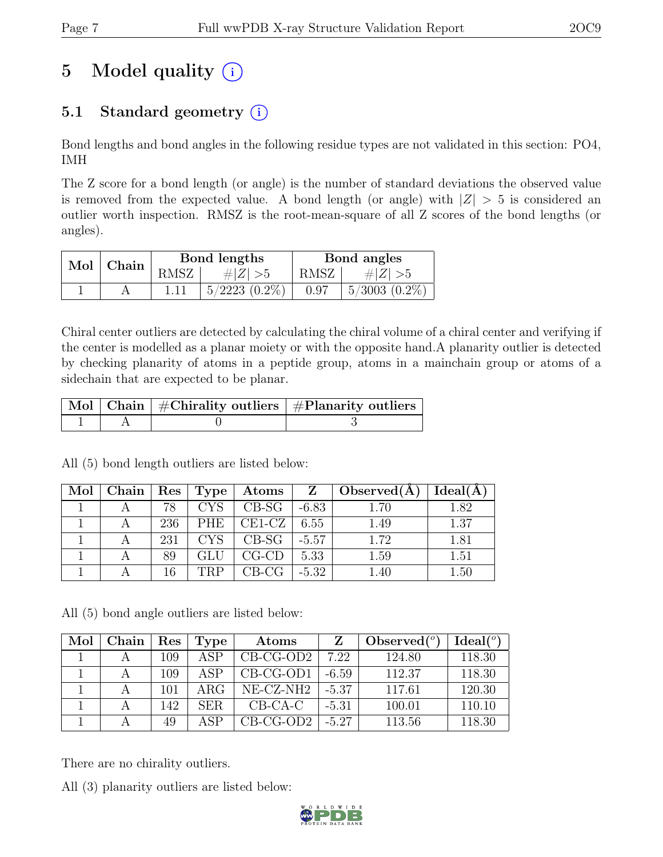# 5 Model quality  $(i)$

# 5.1 Standard geometry  $(i)$

Bond lengths and bond angles in the following residue types are not validated in this section: PO4, IMH

The Z score for a bond length (or angle) is the number of standard deviations the observed value is removed from the expected value. A bond length (or angle) with  $|Z| > 5$  is considered an outlier worth inspection. RMSZ is the root-mean-square of all Z scores of the bond lengths (or angles).

| $Mol$   Chain |      | Bond lengths       | Bond angles |                 |  |
|---------------|------|--------------------|-------------|-----------------|--|
|               | RMSZ | # $ Z  > 5$        | RMSZ        | $\# Z  > 5$     |  |
|               |      | $5/2223$ $(0.2\%)$ | 0.97        | $5/3003(0.2\%)$ |  |

Chiral center outliers are detected by calculating the chiral volume of a chiral center and verifying if the center is modelled as a planar moiety or with the opposite hand.A planarity outlier is detected by checking planarity of atoms in a peptide group, atoms in a mainchain group or atoms of a sidechain that are expected to be planar.

|  | $\mid$ Mol $\mid$ Chain $\mid$ #Chirality outliers $\mid$ #Planarity outliers $\mid$ |
|--|--------------------------------------------------------------------------------------|
|  |                                                                                      |

| Mol | ⊢Chain∣ | $\mid$ Res $\mid$ | $\pm$ Type $\pm$ | $\rm{Atoms}$                | $\mathbf{Z}$ | $\vert$ Observed(A) | Ideal(A) |
|-----|---------|-------------------|------------------|-----------------------------|--------------|---------------------|----------|
|     |         | 78                | CYS              | $CB-SG$                     | $-6.83$      | 1.70                | 1.82     |
|     |         | 236               | PHE              | $\vert$ CE1-CZ $\vert$ 6.55 |              | 1.49                | 1.37     |
|     |         | 231               | CYS              | $CB-SG$                     | $-5.57$      | 1.72                | 1.81     |
|     |         | 89                | <b>GLU</b>       | $CG$ - $CD$                 | 5.33         | 1.59                | 1.51     |
|     |         | 16                | TRP              | $CB-CG$                     | $-5.32$      | .40                 | 1.50     |

All (5) bond length outliers are listed below:

All (5) bond angle outliers are listed below:

| Mol | Chain | Res | <b>Type</b> | Atoms         | Z       | Observed $(°)$ | Ideal <sup>(o)</sup> |
|-----|-------|-----|-------------|---------------|---------|----------------|----------------------|
|     |       | 109 | ASP         | $CB-CG-OD2$   | 7.22    | 124.80         | 118.30               |
|     |       | 109 | ASP         | $CB-CG-OD1$   | $-6.59$ | 112.37         | 118.30               |
|     |       | 101 | ABC         | $NE- CZ- NH2$ | $-5.37$ | 117.61         | 120.30               |
|     |       | 142 | SER.        | $CB-CA-C$     | $-5.31$ | 100.01         | 110.10               |
|     |       | 49  | ASP         | $CB-CG-OD2$   | $-5.27$ | 113.56         | 118.30               |

There are no chirality outliers.

All (3) planarity outliers are listed below:

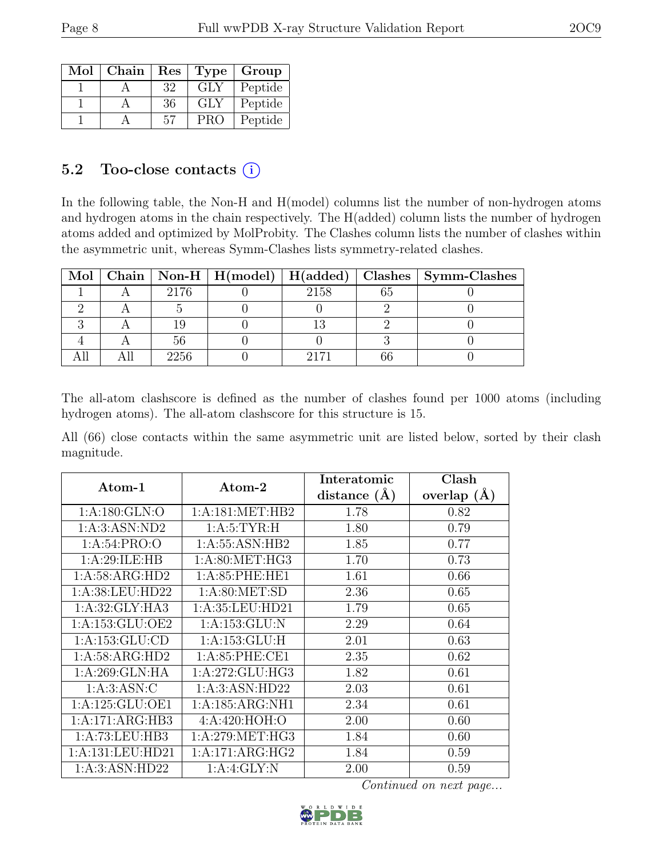| Mol | Chain | Res |            | Type   Group |
|-----|-------|-----|------------|--------------|
|     |       | 32  | <b>GLY</b> | Peptide      |
|     |       | 36  | GLY        | Peptide      |
|     |       | 57  | <b>PRO</b> | Peptide      |

#### 5.2 Too-close contacts  $(i)$

In the following table, the Non-H and H(model) columns list the number of non-hydrogen atoms and hydrogen atoms in the chain respectively. The H(added) column lists the number of hydrogen atoms added and optimized by MolProbity. The Clashes column lists the number of clashes within the asymmetric unit, whereas Symm-Clashes lists symmetry-related clashes.

|  |      |      | Mol   Chain   Non-H   H(model)   H(added)   Clashes   Symm-Clashes |
|--|------|------|--------------------------------------------------------------------|
|  | 2176 | 2158 |                                                                    |
|  |      |      |                                                                    |
|  |      |      |                                                                    |
|  |      |      |                                                                    |
|  | 2256 |      |                                                                    |

The all-atom clashscore is defined as the number of clashes found per 1000 atoms (including hydrogen atoms). The all-atom clashscore for this structure is 15.

All (66) close contacts within the same asymmetric unit are listed below, sorted by their clash magnitude.

| Atom-1              | Atom-2             | Interatomic      | Clash           |
|---------------------|--------------------|------------------|-----------------|
|                     |                    | distance $(\AA)$ | overlap $(\AA)$ |
| 1: A:180: GLN:O     | 1: A:181: MET:HB2  | 1.78             | 0.82            |
| 1: A:3: ASN: ND2    | 1: A: 5: TYR: H    | 1.80             | 0.79            |
| 1: A:54: PRO:O      | 1: A:55: ASN:HB2   | 1.85             | 0.77            |
| 1:A:29:ILE:HB       | 1: A:80:MET:HG3    | 1.70             | 0.73            |
| 1:A:58:ARG:HD2      | 1:A:85:PHE:HE1     | 1.61             | 0.66            |
| 1:A:38:LEU:HD22     | 1: A:80: MET:SD    | 2.36             | 0.65            |
| 1:A:32:GLY:HA3      | 1: A:35: LEU:HD21  | 1.79             | 0.65            |
| 1:A:153:GLU:OE2     | 1: A: 153: GLU: N  | 2.29             | 0.64            |
| 1: A: 153: GLU: CD  | 1: A: 153: GLU: H  | 2.01             | 0.63            |
| 1:A:58:ARG:HD2      | 1:A:85:PHE:CE1     | 2.35             | 0.62            |
| 1: A:269: GLN: HA   | 1: A:272: GLU: HG3 | 1.82             | 0.61            |
| 1: A:3: ASN: C      | 1:A:3:ASN:HD22     | 2.03             | 0.61            |
| 1: A: 125: GLU: OE1 | 1:A:185:ARG:NH1    | 2.34             | 0.61            |
| 1:A:171:ARG:HB3     | 4: A:420: HOH:O    | 2.00             | 0.60            |
| 1:A:73:LEU:HB3      | 1: A:279: MET:HG3  | 1.84             | 0.60            |
| 1:A:131:LEU:HD21    | 1:A:171:ARG:HG2    | 1.84             | 0.59            |
| 1:A:3:ASN:HD22      | 1: A:4: GLY:N      | 2.00             | 0.59            |

Continued on next page...

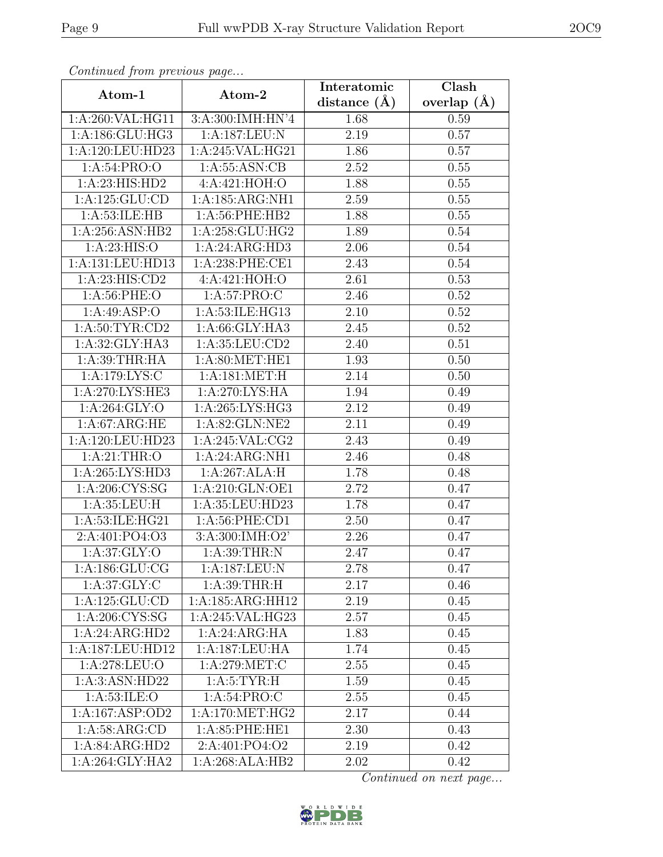| Continuea from previous page |                            | Interatomic       | Clash           |
|------------------------------|----------------------------|-------------------|-----------------|
| Atom-1                       | Atom-2                     | distance $(A)$    | overlap $(\AA)$ |
| 1:A:260:VAL:HG11             | 3:A:300:IMH:HN'4           | 1.68              | 0.59            |
| 1:A:186:GLU:HG3              | 1:A:187:LEU:N              | $\overline{2.19}$ | 0.57            |
| 1:A:120:LEU:HD23             | 1:A:245:VAL:HG21           | 1.86              | 0.57            |
| 1:A:54:PRO:O                 | 1: A: 55: ASN: CB          | 2.52              | 0.55            |
| 1:A:23:HIS:HD2               | 4:A:421:HOH:O              | 1.88              | $0.55\,$        |
| 1:A:125:GLU:CD               | 1:A:185:ARG:NH1            | 2.59              | 0.55            |
| 1: A:53: ILE: HB             | 1:A:56:PHE:HB2             | 1.88              | 0.55            |
| 1:A:256:ASN:HB2              | 1:A:258:GLU:HG2            | 1.89              | 0.54            |
| 1:A:23:HIS:O                 | 1:A:24:ARG:HD3             | 2.06              | 0.54            |
| 1:A:131:LEU:HD13             | 1:A:238:PHE:CE1            | 2.43              | 0.54            |
| 1:A:23:HIS:CD2               | 4:A:421:HOH:O              | 2.61              | 0.53            |
| 1: A:56:PHE:O                | 1:A:57:PRO:C               | 2.46              | 0.52            |
| 1:A:49:ASP:O                 | 1:A:53:ILE:HG13            | 2.10              | 0.52            |
| 1: A:50: TYR:CD2             | 1: A:66: GLY:HA3           | 2.45              | 0.52            |
| 1:A:32:GLY:HA3               | 1:A:35:LEU:CD2             | 2.40              | 0.51            |
| 1: A:39:THR:HA               | 1: A:80:MET:HE1            | 1.93              | 0.50            |
| 1: A:179: LYS:C              | 1:A:181:MET:H              | 2.14              | 0.50            |
| 1: A:270: LYS: HE3           | 1:A:270:LYS:HA             | 1.94              | 0.49            |
| 1: A:264: GLY:O              | 1:A:265:LYS:HG3            | $\overline{2.12}$ | 0.49            |
| 1:A:67:ARG:HE                | 1:A:82:GLN:NE2             | 2.11              | 0.49            |
| 1:A:120:LEU:HD23             | 1:A:245:VAL:CG2            | 2.43              | 0.49            |
| 1: A:21:THR:O                | 1:A:24:ARG:NH1             | 2.46              | 0.48            |
| 1:A:265:LYS:HD3              | $1:A:267:\overline{ALA:H}$ | 1.78              | 0.48            |
| 1: A:206: CYS:SG             | 1:A:210:GLN:OE1            | 2.72              | 0.47            |
| 1:A:35:LEU:H                 | 1:A:35:LEU:HD23            | 1.78              | 0.47            |
| 1:A:53:ILE:HG21              | 1:A:56:PHE:CD1             | 2.50              | 0.47            |
| 2:A:401:PO4:O3               | 3:A:300:IMH:O2'            | 2.26              | 0.47            |
| 1:A:37:GLY:O                 | 1:A:39:THR:N               | 2.47              | 0.47            |
| 1:A:186:GLU:CG               | 1:A:187:LEU:N              | 2.78              | 0.47            |
| 1: A:37: GLY: C              | 1: A:39:THR:H              | 2.17              | 0.46            |
| 1: A: 125: GLU: CD           | 1:A:185:ARG:HH12           | 2.19              | 0.45            |
| 1: A:206: CYS:SG             | 1:A:245:VAL:HG23           | 2.57              | 0.45            |
| 1:A:24:ARG:HD2               | 1:A:24:ARG:HA              | 1.83              | 0.45            |
| 1:A:187:LEU:HD12             | 1:A:187:LEU:HA             | 1.74              | 0.45            |
| 1: A:278:LEU:O               | 1: A:279: MET:C            | 2.55              | 0.45            |
| 1:A:3:ASN:HD22               | 1: A:5: TYR:H              | 1.59              | 0.45            |
| 1: A:53: ILE: O              | 1: A:54: PRO:C             | 2.55              | 0.45            |
| 1:A:167:ASP:OD2              | 1: A:170:MET:HG2           | 2.17              | 0.44            |
| 1: A:58: ARG:CD              | 1:A:85:PHE:HE1             | 2.30              | 0.43            |
| 1:A:84:ARG:HD2               | 2:A:401:PO4:O2             | 2.19              | 0.42            |
| 1:A:264:GLY:HA2              | 1:A:268:ALA:HB2            | 2.02              | 0.42            |

Continued from previous page.

Continued on next page...

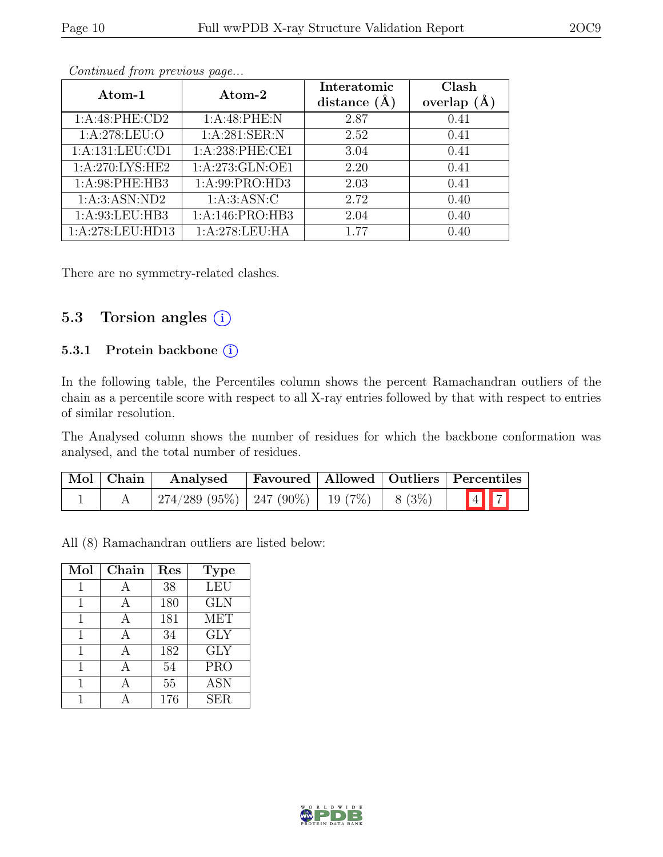| Atom-1             | $\bm{\mathrm{Atom}\text{-}2}$ | Interatomic<br>distance $(\AA)$ | Clash<br>overlap<br>(A) |
|--------------------|-------------------------------|---------------------------------|-------------------------|
| 1:A:48:PHE:CD2     | 1:A:48:PHE:N                  | 2.87                            | 0.41                    |
| 1: A:278:LEU:O     | 1: A:281:SER:N                | 2.52                            | 0.41                    |
| 1:A:131:LEU:CD1    | 1: A:238: PHE:CE1             | 3.04                            | 0.41                    |
| 1: A:270: LYS: HE2 | 1:A:273:GLN:OE1               | 2.20                            | 0.41                    |
| 1: A:98: PHE:HB3   | 1:A:99:PRO:HD3                | 2.03                            | 0.41                    |
| 1: A:3: ASN: ND2   | 1: A:3: ASN: C                | 2.72                            | 0.40                    |
| 1:A:93:LEU:HB3     | 1:A:146:PRO:HB3               | 2.04                            | 0.40                    |
| 1:A:278:LEU:HD13   | 1:A:278:LEU:HA                | 1.77                            | 0.40                    |

Continued from previous page...

There are no symmetry-related clashes.

#### 5.3 Torsion angles  $(i)$

#### 5.3.1 Protein backbone (i)

In the following table, the Percentiles column shows the percent Ramachandran outliers of the chain as a percentile score with respect to all X-ray entries followed by that with respect to entries of similar resolution.

The Analysed column shows the number of residues for which the backbone conformation was analysed, and the total number of residues.

| $\mid$ Mol $\mid$ Chain $\mid$ | Analysed                                 |  |         | Favoured   Allowed   Outliers   Percentiles |
|--------------------------------|------------------------------------------|--|---------|---------------------------------------------|
|                                | $274/289$ (95\%)   247 (90\%)   19 (7\%) |  | 8 (3\%) | $\boxed{4}$ $\boxed{7}$                     |

All (8) Ramachandran outliers are listed below:

| Mol | Chain        | Res | <b>Type</b> |
|-----|--------------|-----|-------------|
|     |              | 38  | <b>LEU</b>  |
| 1   | А            | 180 | <b>GLN</b>  |
| 1   | А            | 181 | <b>MET</b>  |
| 1   | $\mathbf{A}$ | 34  | <b>GLY</b>  |
|     | А            | 182 | <b>GLY</b>  |
|     | А            | 54  | <b>PRO</b>  |
|     |              | 55  | <b>ASN</b>  |
|     |              | 176 | <b>SER</b>  |

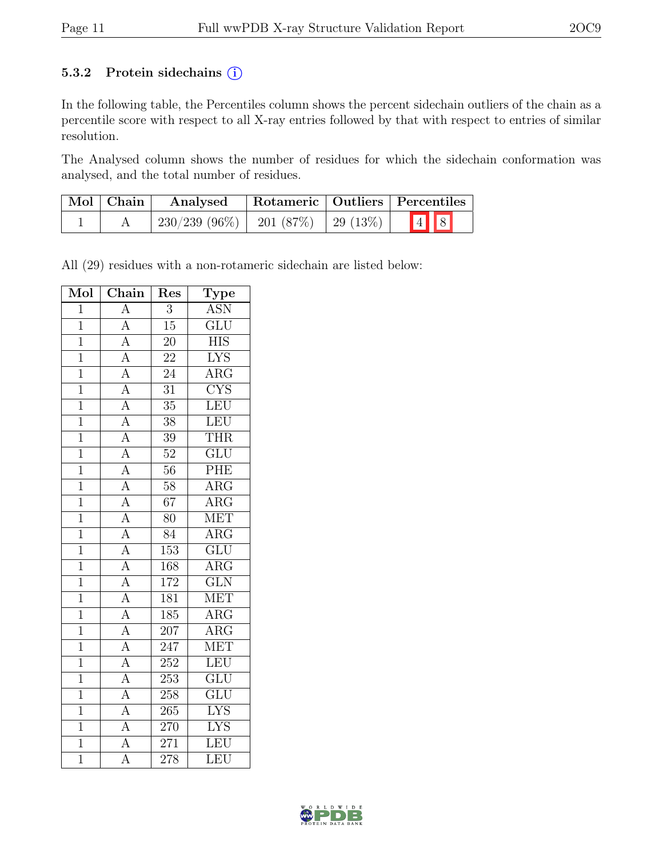#### 5.3.2 Protein sidechains (i)

In the following table, the Percentiles column shows the percent sidechain outliers of the chain as a percentile score with respect to all X-ray entries followed by that with respect to entries of similar resolution.

The Analysed column shows the number of residues for which the sidechain conformation was analysed, and the total number of residues.

| $\mid$ Mol $\mid$ Chain | Analysed                                  |  | Rotameric   Outliers   Percentiles |
|-------------------------|-------------------------------------------|--|------------------------------------|
|                         | $230/239$ (96\%)   201 (87\%)   29 (13\%) |  | $\boxed{4}$ $\boxed{8}$            |

All (29) residues with a non-rotameric sidechain are listed below:

| $\overline{\text{Mol}}$ | $\overline{\text{Chain}}$                                                                                                                                                                                                                                                                                           | Res              | $\overline{\text{Type}}$  |
|-------------------------|---------------------------------------------------------------------------------------------------------------------------------------------------------------------------------------------------------------------------------------------------------------------------------------------------------------------|------------------|---------------------------|
| $\overline{1}$          | $\overline{A}$                                                                                                                                                                                                                                                                                                      | $\overline{3}$   | <b>ASN</b>                |
| $\overline{1}$          | $\overline{A}$                                                                                                                                                                                                                                                                                                      | $\overline{15}$  | $\overline{\text{GLU}}$   |
| $\overline{1}$          | $\overline{A}$                                                                                                                                                                                                                                                                                                      | $\overline{20}$  | <b>HIS</b>                |
| $\mathbf{1}$            |                                                                                                                                                                                                                                                                                                                     | 22               | $\overline{\text{LYS}}$   |
| $\overline{1}$          |                                                                                                                                                                                                                                                                                                                     | 24               | $\overline{\text{ARG}}$   |
| $\mathbf{1}$            |                                                                                                                                                                                                                                                                                                                     | 31               | $\overline{\text{CYS}}$   |
| $\overline{1}$          |                                                                                                                                                                                                                                                                                                                     | $\overline{35}$  | LEU                       |
| $\overline{1}$          |                                                                                                                                                                                                                                                                                                                     | 38               | LEU                       |
| $\overline{1}$          |                                                                                                                                                                                                                                                                                                                     | $\overline{39}$  | <b>THR</b>                |
| $\overline{1}$          | $\frac{\overline{A}}{\overline{A}}$ $\frac{\overline{A}}{\overline{A}}$ $\frac{\overline{A}}{\overline{A}}$ $\frac{\overline{A}}{\overline{A}}$                                                                                                                                                                     | $\overline{52}$  | $\overline{\text{GLU}}$   |
| $\overline{1}$          |                                                                                                                                                                                                                                                                                                                     | $\overline{56}$  | PHE                       |
| $\overline{1}$          |                                                                                                                                                                                                                                                                                                                     | $\overline{58}$  | $\overline{\text{ARG}}$   |
| $\mathbf 1$             |                                                                                                                                                                                                                                                                                                                     | $\overline{67}$  | $\overline{\text{ARG}}$   |
| $\overline{1}$          |                                                                                                                                                                                                                                                                                                                     | 80               | <b>MET</b>                |
| $\overline{1}$          |                                                                                                                                                                                                                                                                                                                     | 84               | $\overline{\rm ARG}$      |
| $\overline{1}$          |                                                                                                                                                                                                                                                                                                                     | 153              | $\overline{\text{GLU}}$   |
| $\overline{1}$          |                                                                                                                                                                                                                                                                                                                     | 168              | $\overline{\text{ARG}}$   |
| $\mathbf{1}$            |                                                                                                                                                                                                                                                                                                                     | 172              | $\overline{\text{GLN}}$   |
| $\overline{1}$          |                                                                                                                                                                                                                                                                                                                     | 181              | <b>MET</b>                |
| $\overline{1}$          |                                                                                                                                                                                                                                                                                                                     | 185              | $\overline{\text{ARG}}$   |
| $\mathbf{1}$            |                                                                                                                                                                                                                                                                                                                     | 207              | $\overline{\text{ARG}}$   |
| $\overline{1}$          |                                                                                                                                                                                                                                                                                                                     | $\overline{247}$ | <b>MET</b>                |
| $\overline{1}$          |                                                                                                                                                                                                                                                                                                                     | 252              | LEU                       |
| $\overline{1}$          |                                                                                                                                                                                                                                                                                                                     | $\overline{253}$ | $\overline{\text{GLU}}$   |
| $\overline{1}$          | $\frac{\overline{A}}{\overline{A}} \frac{\overline{A}}{\overline{A}} \frac{\overline{A}}{\overline{A}} \frac{\overline{A}}{\overline{A}} \frac{\overline{A}}{\overline{A}} \frac{\overline{A}}{\overline{A}} \frac{\overline{A}}{\overline{A}} \frac{\overline{A}}{\overline{A}} \frac{\overline{A}}{\overline{A}}$ | 258              | $\overline{\text{GLU}}$   |
| $\mathbf{1}$            |                                                                                                                                                                                                                                                                                                                     | 265              | <b>LYS</b>                |
| $\mathbf{1}$            |                                                                                                                                                                                                                                                                                                                     | 270              | $\overline{\text{LYS}}$   |
| $\mathbf{1}$            |                                                                                                                                                                                                                                                                                                                     | 271              | $\overline{\text{LEU}}$   |
| $\overline{1}$          | $\overline{A}$                                                                                                                                                                                                                                                                                                      | 278              | $\overline{\textrm{LEU}}$ |

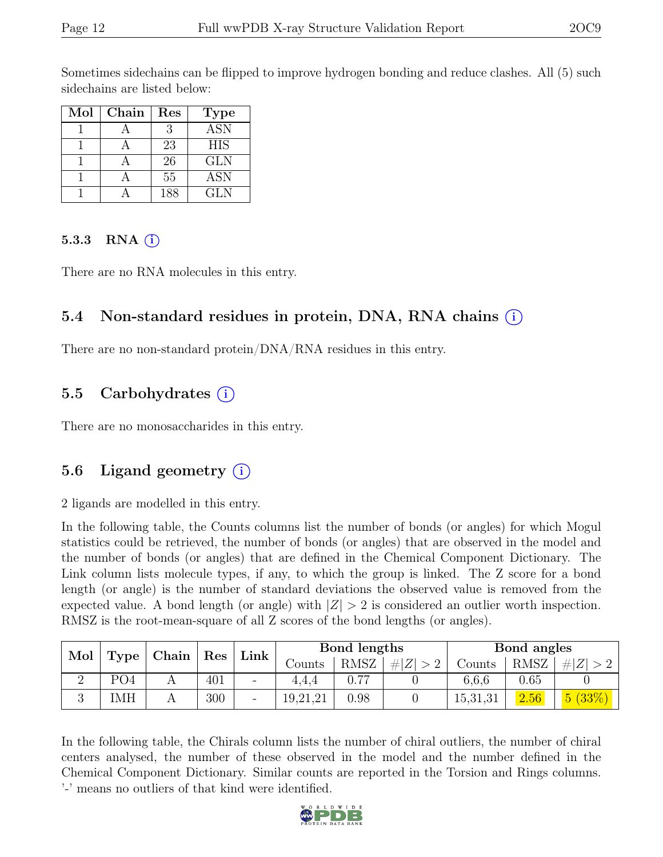Sometimes sidechains can be flipped to improve hydrogen bonding and reduce clashes. All (5) such sidechains are listed below:

| Mol | Chain | Res | <b>Type</b> |
|-----|-------|-----|-------------|
|     |       | 3   | <b>ASN</b>  |
|     |       | 23  | HIS         |
|     |       | 26  | <b>GLN</b>  |
|     |       | 55  | <b>ASN</b>  |
|     |       | 188 | GLN         |

#### 5.3.3 RNA  $(i)$

There are no RNA molecules in this entry.

### 5.4 Non-standard residues in protein, DNA, RNA chains (i)

There are no non-standard protein/DNA/RNA residues in this entry.

### 5.5 Carbohydrates (i)

There are no monosaccharides in this entry.

### 5.6 Ligand geometry  $(i)$

2 ligands are modelled in this entry.

In the following table, the Counts columns list the number of bonds (or angles) for which Mogul statistics could be retrieved, the number of bonds (or angles) that are observed in the model and the number of bonds (or angles) that are defined in the Chemical Component Dictionary. The Link column lists molecule types, if any, to which the group is linked. The Z score for a bond length (or angle) is the number of standard deviations the observed value is removed from the expected value. A bond length (or angle) with  $|Z| > 2$  is considered an outlier worth inspection. RMSZ is the root-mean-square of all Z scores of the bond lengths (or angles).

| Mol |            | $ $ Chain $ $ |                      | Link | Bond lengths |      |     | Bond angles |      |          |
|-----|------------|---------------|----------------------|------|--------------|------|-----|-------------|------|----------|
|     | Type       |               | $\operatorname{Res}$ |      | Counts       | RMSZ | # Z | Counts      | RMSZ | Z <br>#  |
|     | PO4        |               | 401                  | -    | 4.4.4        | 0.77 |     | 6.6.6       | 0.65 |          |
|     | <b>IMH</b> |               | 300                  |      | 19,21,21     | 0.98 |     | 15,31,31    | 2.56 | (5 (33%) |

In the following table, the Chirals column lists the number of chiral outliers, the number of chiral centers analysed, the number of these observed in the model and the number defined in the Chemical Component Dictionary. Similar counts are reported in the Torsion and Rings columns. '-' means no outliers of that kind were identified.

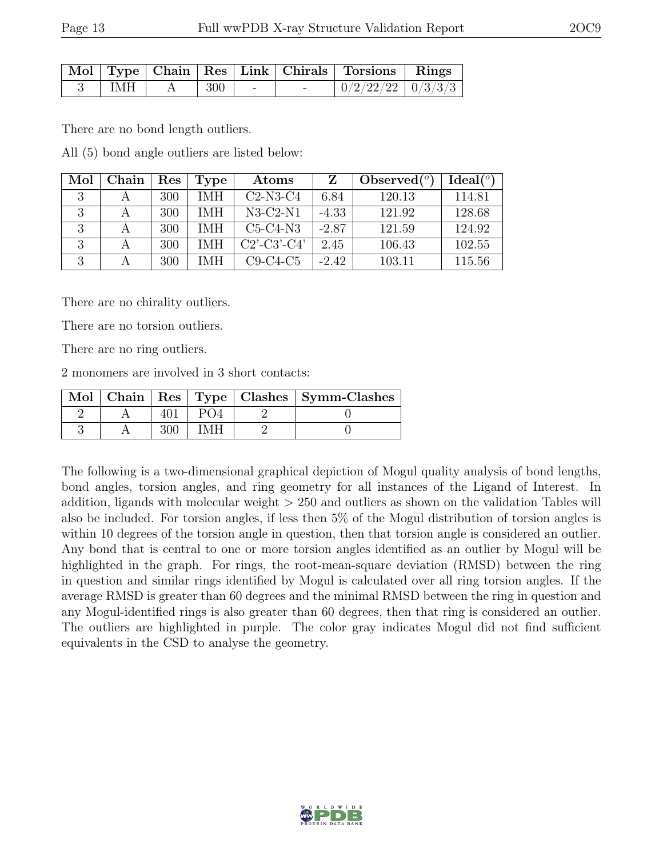|       |     |   | Mol   Type   Chain   Res   Link   Chirals   Torsions   Rings |  |
|-------|-----|---|--------------------------------------------------------------|--|
| IMH . | 300 | - | $\mid 0/2/22/22 \mid 0/3/3/3 \mid$                           |  |

There are no bond length outliers.

All (5) bond angle outliers are listed below:

| Mol | Chain | $\operatorname{Res}% \left( \mathcal{N}\right) \equiv\operatorname{Res}(\mathcal{N}_{0},\mathcal{N}_{0})$ | Type       | Atoms          |         | Observed $(°)$ | Ideal $(°)$ |
|-----|-------|-----------------------------------------------------------------------------------------------------------|------------|----------------|---------|----------------|-------------|
|     |       | 300                                                                                                       | <b>IMH</b> | $C2-N3-C4$     | 6.84    | 120.13         | 114.81      |
|     |       | 300                                                                                                       | <b>IMH</b> | $N3-C2-N1$     | $-4.33$ | 121.92         | 128.68      |
|     |       | 300                                                                                                       | <b>IMH</b> | $C5-C4-N3$     | $-2.87$ | 121.59         | 124.92      |
|     |       | 300                                                                                                       | <b>IMH</b> | $C2'$ -C3'-C4' | 2.45    | 106.43         | 102.55      |
|     |       | 300                                                                                                       | IMH        | $C9-C4-C5$     | $-2.42$ | 103.11         | 115.56      |

There are no chirality outliers.

There are no torsion outliers.

There are no ring outliers.

2 monomers are involved in 3 short contacts:

|  |  | Mol   Chain   Res   Type   Clashes   Symm-Clashes |
|--|--|---------------------------------------------------|
|  |  |                                                   |
|  |  |                                                   |

The following is a two-dimensional graphical depiction of Mogul quality analysis of bond lengths, bond angles, torsion angles, and ring geometry for all instances of the Ligand of Interest. In addition, ligands with molecular weight > 250 and outliers as shown on the validation Tables will also be included. For torsion angles, if less then 5% of the Mogul distribution of torsion angles is within 10 degrees of the torsion angle in question, then that torsion angle is considered an outlier. Any bond that is central to one or more torsion angles identified as an outlier by Mogul will be highlighted in the graph. For rings, the root-mean-square deviation (RMSD) between the ring in question and similar rings identified by Mogul is calculated over all ring torsion angles. If the average RMSD is greater than 60 degrees and the minimal RMSD between the ring in question and any Mogul-identified rings is also greater than 60 degrees, then that ring is considered an outlier. The outliers are highlighted in purple. The color gray indicates Mogul did not find sufficient equivalents in the CSD to analyse the geometry.

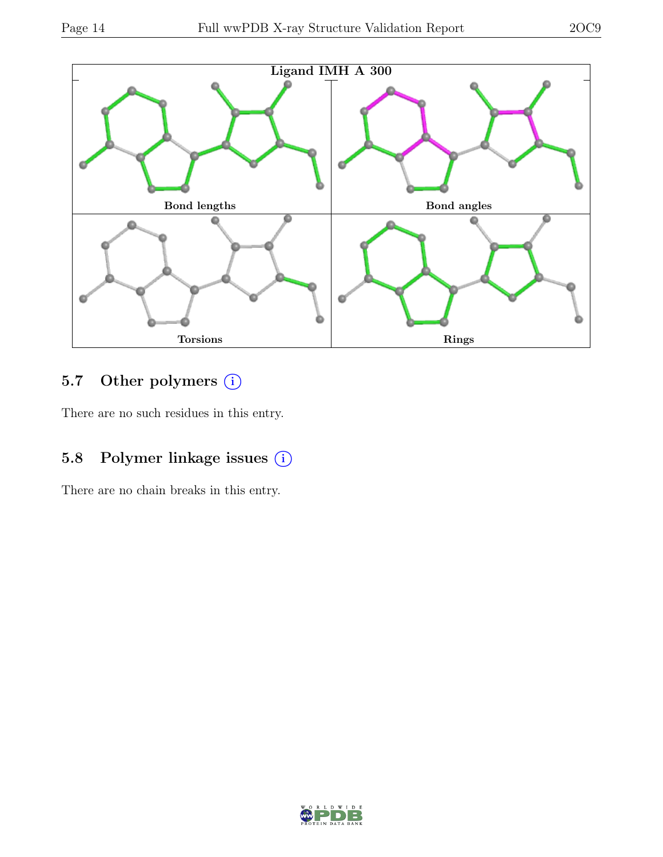

# 5.7 Other polymers (i)

There are no such residues in this entry.

### 5.8 Polymer linkage issues (i)

There are no chain breaks in this entry.

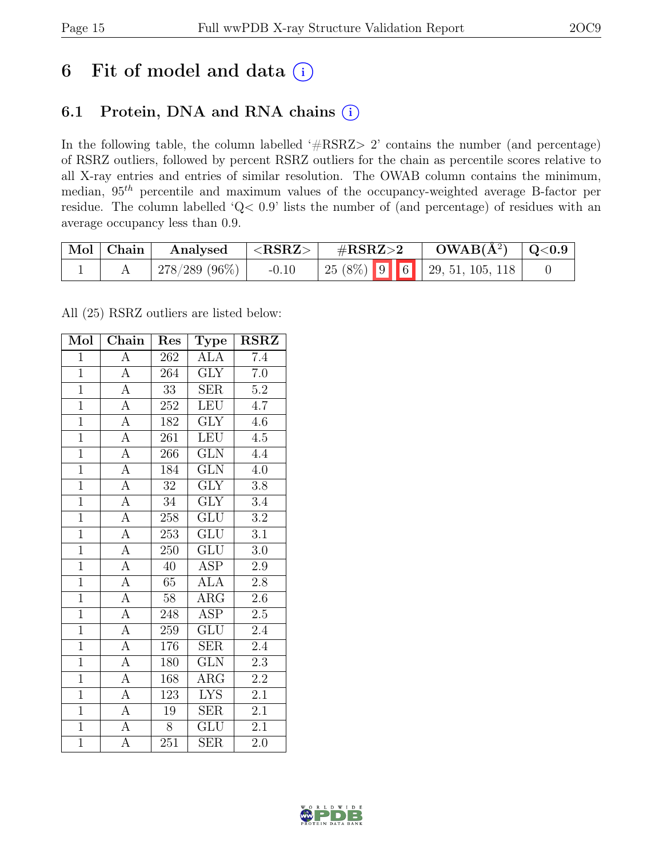# 6 Fit of model and data  $(i)$

### 6.1 Protein, DNA and RNA chains (i)

In the following table, the column labelled ' $\#\text{RSRZ}>2$ ' contains the number (and percentage) of RSRZ outliers, followed by percent RSRZ outliers for the chain as percentile scores relative to all X-ray entries and entries of similar resolution. The OWAB column contains the minimum, median, 95th percentile and maximum values of the occupancy-weighted average B-factor per residue. The column labelled 'Q< 0.9' lists the number of (and percentage) of residues with an average occupancy less than 0.9.

| $\mid$ Mol $\mid$ Chain | Analysed      | $  <$ RSRZ $>$ . | $\#\text{RSRZ}\text{>2}$ | $OWAB(A^2)$ $\vert$ Q<0.9          |  |
|-------------------------|---------------|------------------|--------------------------|------------------------------------|--|
|                         | 278/289 (96%) | $-0.10$          |                          | 25 (8%)   9   6   29, 51, 105, 118 |  |

All (25) RSRZ outliers are listed below:

| Mol            | Chain              | Res             | Type                      | <b>RSRZ</b>      |
|----------------|--------------------|-----------------|---------------------------|------------------|
| $\mathbf{1}$   | $\mathbf{A}$       | 262             | <b>ALA</b>                | $\overline{7.4}$ |
| $\overline{1}$ | $\overline{A}$     | 264             | <b>GLY</b>                | $7.0\,$          |
| $\overline{1}$ | $\overline{A}$     | $\overline{33}$ | SER                       | $\overline{5.2}$ |
| $\overline{1}$ | $\overline{A}$     | $252\,$         | LEU                       | 4.7              |
| $\overline{1}$ | $\overline{A}$     | 182             | $\overline{\text{GLY}}$   | $\overline{4.6}$ |
| $\mathbf{1}$   | $\overline{A}$     | 261             | <b>LEU</b>                | 4.5              |
| $\overline{1}$ | $\overline{A}$     | 266             | <b>GLN</b>                | 4.4              |
| $\overline{1}$ | $\overline{A}$     | 184             | $\overline{\text{GLN}}$   | 4.0              |
| $\overline{1}$ | $\overline{A}$     | 32              | $\widetilde{\text{GLY}}$  | 3.8              |
| $\overline{1}$ | $\overline{A}$     | $\overline{34}$ | $\overline{\text{GLY}}$   | 3.4              |
| $\overline{1}$ | $\overline{A}$     | 258             | $\widetilde{{\rm GLU}}$   | $\overline{3.2}$ |
| $\overline{1}$ | $\overline{A}$     | 253             | $\overline{\text{GLU}}$   | $\overline{3.1}$ |
| $\overline{1}$ | $\overline{A}$     | 250             | <b>GLU</b>                | $3.0\,$          |
| $\overline{1}$ | $\overline{A}$     | 40              | <b>ASP</b>                | $2.9\,$          |
| $\overline{1}$ | $\overline{A}$     | $\overline{65}$ | $\overline{\text{ALA}}$   | $2.8\,$          |
| $\overline{1}$ | $\overline{A}$     | 58              | $\overline{\text{ARG}}$   | 2.6              |
| $\overline{1}$ | $\overline{A}$     | 248             | $\overline{\text{ASP}}$   | $\overline{2.5}$ |
| $\overline{1}$ | $\overline{A}$     | 259             | $\overline{\text{GLU}}$   | $2.4\,$          |
| $\overline{1}$ | $\overline{A}$     | 176             | SER                       | 2.4              |
| $\overline{1}$ | $\overline{A}$     | 180             | GLN                       | 2.3              |
| $\overline{1}$ | $\overline{A}$     | 168             | $\rm{ARG}$                | 2.2              |
| $\overline{1}$ | $\overline{A}$     | 123             | $\overline{\text{LYS}}$   | 2.1              |
| $\overline{1}$ | $\overline{A}$     | 19              | <b>SER</b>                | $2.\overline{1}$ |
| $\overline{1}$ | $\overline{A}$     | $\overline{8}$  | $\overline{\mathrm{GLU}}$ | $\overline{2.1}$ |
| $\overline{1}$ | $\overline{\rm A}$ | 251             | $\operatorname{SER}$      | 2.0              |

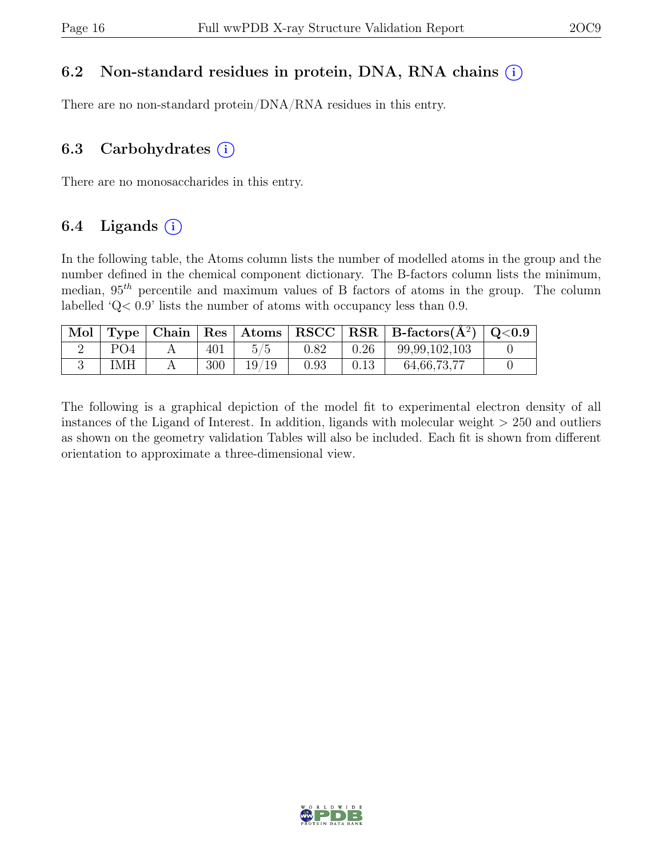#### 6.2 Non-standard residues in protein, DNA, RNA chains (i)

There are no non-standard protein/DNA/RNA residues in this entry.

#### 6.3 Carbohydrates  $(i)$

There are no monosaccharides in this entry.

### 6.4 Ligands  $(i)$

In the following table, the Atoms column lists the number of modelled atoms in the group and the number defined in the chemical component dictionary. The B-factors column lists the minimum, median,  $95<sup>th</sup>$  percentile and maximum values of B factors of atoms in the group. The column labelled 'Q< 0.9' lists the number of atoms with occupancy less than 0.9.

| Mol |     |     |       |      |      | $\top$ Type   Chain   Res   Atoms   RSCC   RSR   B-factors $(A^2)$   Q<0.9 |  |
|-----|-----|-----|-------|------|------|----------------------------------------------------------------------------|--|
|     | PO4 | 401 |       | 0.82 | 0.26 | 99,99,102,103                                                              |  |
|     | IMH | 300 | 19/19 | 0.93 | 0.13 | 64,66,73,77                                                                |  |

The following is a graphical depiction of the model fit to experimental electron density of all instances of the Ligand of Interest. In addition, ligands with molecular weight  $> 250$  and outliers as shown on the geometry validation Tables will also be included. Each fit is shown from different orientation to approximate a three-dimensional view.